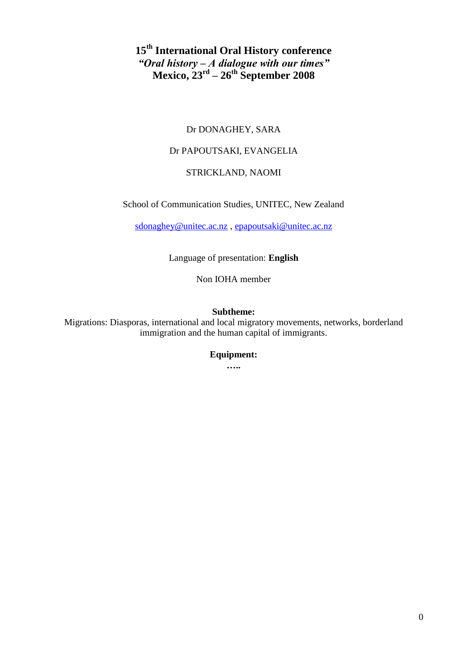# **15th International Oral History conference** *"Oral history – A dialogue with our times"* **Mexico, 23rd – 26th September 2008**

# Dr DONAGHEY, SARA

## Dr PAPOUTSAKI, EVANGELIA

## STRICKLAND, NAOMI

School of Communication Studies, UNITEC, New Zealand

[sdonaghey@unitec.ac.nz](mailto:sdonaghey@unitec.ac.nz) , [epapoutsaki@unitec.ac.nz](mailto:epapoutsaki@unitec.ac.nz)

Language of presentation: **English**

Non IOHA member

## **Subtheme:**

Migrations: Diasporas, international and local migratory movements, networks, borderland immigration and the human capital of immigrants.

# **Equipment:**

**…..**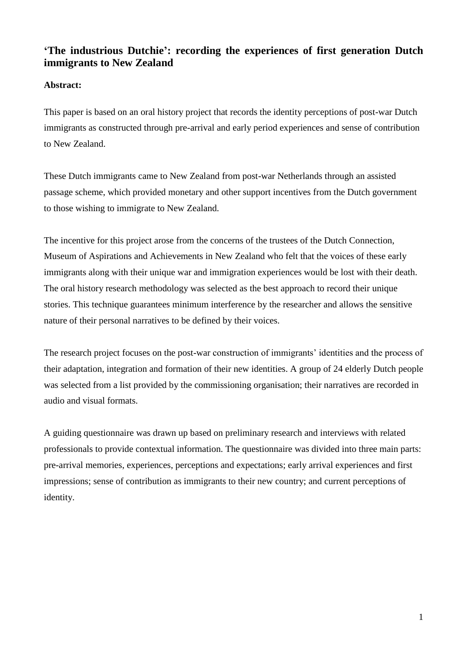# **'The industrious Dutchie': recording the experiences of first generation Dutch immigrants to New Zealand**

# **Abstract:**

This paper is based on an oral history project that records the identity perceptions of post-war Dutch immigrants as constructed through pre-arrival and early period experiences and sense of contribution to New Zealand.

These Dutch immigrants came to New Zealand from post-war Netherlands through an assisted passage scheme, which provided monetary and other support incentives from the Dutch government to those wishing to immigrate to New Zealand.

The incentive for this project arose from the concerns of the trustees of the Dutch Connection, Museum of Aspirations and Achievements in New Zealand who felt that the voices of these early immigrants along with their unique war and immigration experiences would be lost with their death. The oral history research methodology was selected as the best approach to record their unique stories. This technique guarantees minimum interference by the researcher and allows the sensitive nature of their personal narratives to be defined by their voices.

The research project focuses on the post-war construction of immigrants' identities and the process of their adaptation, integration and formation of their new identities. A group of 24 elderly Dutch people was selected from a list provided by the commissioning organisation; their narratives are recorded in audio and visual formats.

A guiding questionnaire was drawn up based on preliminary research and interviews with related professionals to provide contextual information. The questionnaire was divided into three main parts: pre-arrival memories, experiences, perceptions and expectations; early arrival experiences and first impressions; sense of contribution as immigrants to their new country; and current perceptions of identity.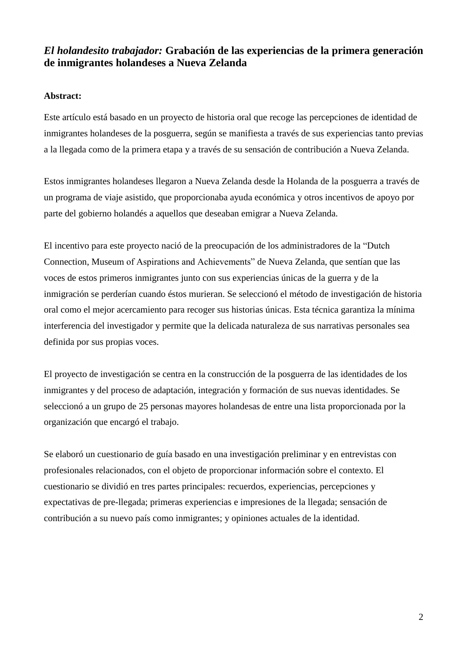# *El holandesito trabajador:* **Grabación de las experiencias de la primera generación de inmigrantes holandeses a Nueva Zelanda**

## **Abstract:**

Este artículo está basado en un proyecto de historia oral que recoge las percepciones de identidad de inmigrantes holandeses de la posguerra, según se manifiesta a través de sus experiencias tanto previas a la llegada como de la primera etapa y a través de su sensación de contribución a Nueva Zelanda.

Estos inmigrantes holandeses llegaron a Nueva Zelanda desde la Holanda de la posguerra a través de un programa de viaje asistido, que proporcionaba ayuda económica y otros incentivos de apoyo por parte del gobierno holandés a aquellos que deseaban emigrar a Nueva Zelanda.

El incentivo para este proyecto nació de la preocupación de los administradores de la "Dutch Connection, Museum of Aspirations and Achievements" de Nueva Zelanda, que sentían que las voces de estos primeros inmigrantes junto con sus experiencias únicas de la guerra y de la inmigración se perderían cuando éstos murieran. Se seleccionó el método de investigación de historia oral como el mejor acercamiento para recoger sus historias únicas. Esta técnica garantiza la mínima interferencia del investigador y permite que la delicada naturaleza de sus narrativas personales sea definida por sus propias voces.

El proyecto de investigación se centra en la construcción de la posguerra de las identidades de los inmigrantes y del proceso de adaptación, integración y formación de sus nuevas identidades. Se seleccionó a un grupo de 25 personas mayores holandesas de entre una lista proporcionada por la organización que encargó el trabajo.

Se elaboró un cuestionario de guía basado en una investigación preliminar y en entrevistas con profesionales relacionados, con el objeto de proporcionar información sobre el contexto. El cuestionario se dividió en tres partes principales: recuerdos, experiencias, percepciones y expectativas de pre-llegada; primeras experiencias e impresiones de la llegada; sensación de contribución a su nuevo país como inmigrantes; y opiniones actuales de la identidad.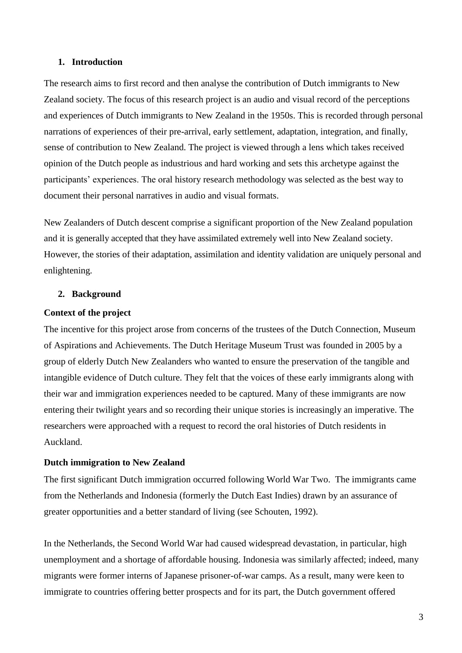#### **1. Introduction**

The research aims to first record and then analyse the contribution of Dutch immigrants to New Zealand society. The focus of this research project is an audio and visual record of the perceptions and experiences of Dutch immigrants to New Zealand in the 1950s. This is recorded through personal narrations of experiences of their pre-arrival, early settlement, adaptation, integration, and finally, sense of contribution to New Zealand. The project is viewed through a lens which takes received opinion of the Dutch people as industrious and hard working and sets this archetype against the participants' experiences. The oral history research methodology was selected as the best way to document their personal narratives in audio and visual formats.

New Zealanders of Dutch descent comprise a significant proportion of the New Zealand population and it is generally accepted that they have assimilated extremely well into New Zealand society. However, the stories of their adaptation, assimilation and identity validation are uniquely personal and enlightening.

#### **2. Background**

#### **Context of the project**

The incentive for this project arose from concerns of the trustees of the Dutch Connection, Museum of Aspirations and Achievements. The Dutch Heritage Museum Trust was founded in 2005 by a group of elderly Dutch New Zealanders who wanted to ensure the preservation of the tangible and intangible evidence of Dutch culture. They felt that the voices of these early immigrants along with their war and immigration experiences needed to be captured. Many of these immigrants are now entering their twilight years and so recording their unique stories is increasingly an imperative. The researchers were approached with a request to record the oral histories of Dutch residents in Auckland.

#### **Dutch immigration to New Zealand**

The first significant Dutch immigration occurred following World War Two. The immigrants came from the Netherlands and Indonesia (formerly the Dutch East Indies) drawn by an assurance of greater opportunities and a better standard of living (see Schouten, 1992).

In the Netherlands, the Second World War had caused widespread devastation, in particular, high unemployment and a shortage of affordable housing. Indonesia was similarly affected; indeed, many migrants were former interns of Japanese prisoner-of-war camps. As a result, many were keen to immigrate to countries offering better prospects and for its part, the Dutch government offered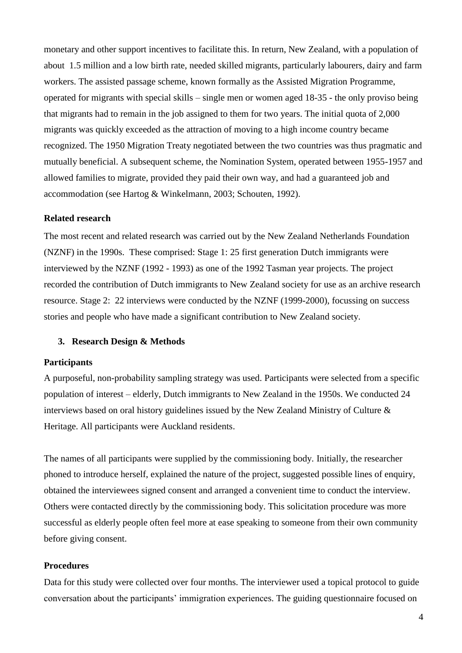monetary and other support incentives to facilitate this. In return, New Zealand, with a population of about 1.5 million and a low birth rate, needed skilled migrants, particularly labourers, dairy and farm workers. The assisted passage scheme, known formally as the Assisted Migration Programme, operated for migrants with special skills – single men or women aged 18-35 - the only proviso being that migrants had to remain in the job assigned to them for two years. The initial quota of 2,000 migrants was quickly exceeded as the attraction of moving to a high income country became recognized. The 1950 Migration Treaty negotiated between the two countries was thus pragmatic and mutually beneficial. A subsequent scheme, the Nomination System, operated between 1955-1957 and allowed families to migrate, provided they paid their own way, and had a guaranteed job and accommodation (see Hartog & Winkelmann, 2003; Schouten, 1992).

#### **Related research**

The most recent and related research was carried out by the New Zealand Netherlands Foundation (NZNF) in the 1990s. These comprised: Stage 1: 25 first generation Dutch immigrants were interviewed by the NZNF (1992 - 1993) as one of the 1992 Tasman year projects. The project recorded the contribution of Dutch immigrants to New Zealand society for use as an archive research resource. Stage 2: 22 interviews were conducted by the NZNF (1999-2000), focussing on success stories and people who have made a significant contribution to New Zealand society.

## **3. Research Design & Methods**

#### **Participants**

A purposeful, non-probability sampling strategy was used. Participants were selected from a specific population of interest – elderly, Dutch immigrants to New Zealand in the 1950s. We conducted 24 interviews based on oral history guidelines issued by the New Zealand Ministry of Culture & Heritage. All participants were Auckland residents.

The names of all participants were supplied by the commissioning body. Initially, the researcher phoned to introduce herself, explained the nature of the project, suggested possible lines of enquiry, obtained the interviewees signed consent and arranged a convenient time to conduct the interview. Others were contacted directly by the commissioning body. This solicitation procedure was more successful as elderly people often feel more at ease speaking to someone from their own community before giving consent.

#### **Procedures**

Data for this study were collected over four months. The interviewer used a topical protocol to guide conversation about the participants" immigration experiences. The guiding questionnaire focused on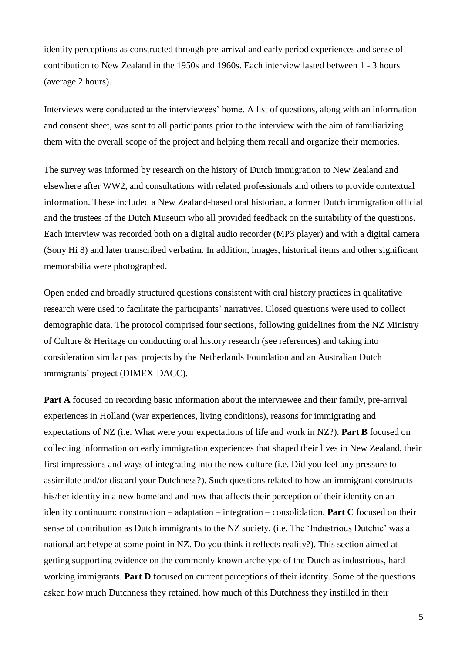identity perceptions as constructed through pre-arrival and early period experiences and sense of contribution to New Zealand in the 1950s and 1960s. Each interview lasted between 1 - 3 hours (average 2 hours).

Interviews were conducted at the interviewees" home. A list of questions, along with an information and consent sheet, was sent to all participants prior to the interview with the aim of familiarizing them with the overall scope of the project and helping them recall and organize their memories.

The survey was informed by research on the history of Dutch immigration to New Zealand and elsewhere after WW2, and consultations with related professionals and others to provide contextual information. These included a New Zealand-based oral historian, a former Dutch immigration official and the trustees of the Dutch Museum who all provided feedback on the suitability of the questions. Each interview was recorded both on a digital audio recorder (MP3 player) and with a digital camera (Sony Hi 8) and later transcribed verbatim. In addition, images, historical items and other significant memorabilia were photographed.

Open ended and broadly structured questions consistent with oral history practices in qualitative research were used to facilitate the participants' narratives. Closed questions were used to collect demographic data. The protocol comprised four sections, following guidelines from the NZ Ministry of Culture & Heritage on conducting oral history research (see references) and taking into consideration similar past projects by the Netherlands Foundation and an Australian Dutch immigrants' project (DIMEX-DACC).

**Part A** focused on recording basic information about the interviewee and their family, pre-arrival experiences in Holland (war experiences, living conditions), reasons for immigrating and expectations of NZ (i.e. What were your expectations of life and work in NZ?). **Part B** focused on collecting information on early immigration experiences that shaped their lives in New Zealand, their first impressions and ways of integrating into the new culture (i.e. Did you feel any pressure to assimilate and/or discard your Dutchness?). Such questions related to how an immigrant constructs his/her identity in a new homeland and how that affects their perception of their identity on an identity continuum: construction – adaptation – integration – consolidation. **Part C** focused on their sense of contribution as Dutch immigrants to the NZ society. (i.e. The "Industrious Dutchie" was a national archetype at some point in NZ. Do you think it reflects reality?). This section aimed at getting supporting evidence on the commonly known archetype of the Dutch as industrious, hard working immigrants. **Part D** focused on current perceptions of their identity. Some of the questions asked how much Dutchness they retained, how much of this Dutchness they instilled in their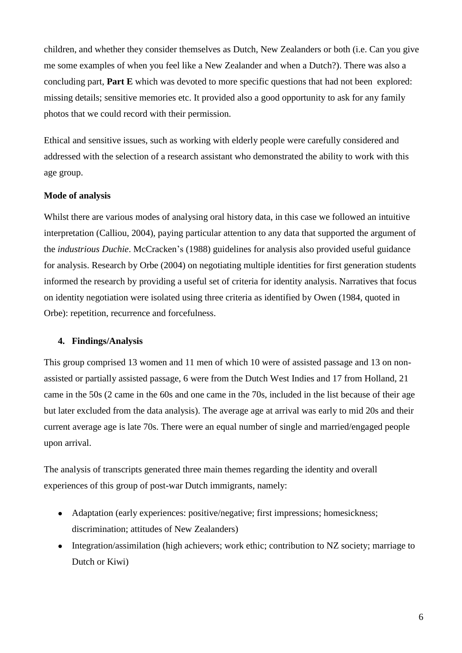children, and whether they consider themselves as Dutch, New Zealanders or both (i.e. Can you give me some examples of when you feel like a New Zealander and when a Dutch?). There was also a concluding part, **Part E** which was devoted to more specific questions that had not been explored: missing details; sensitive memories etc. It provided also a good opportunity to ask for any family photos that we could record with their permission.

Ethical and sensitive issues, such as working with elderly people were carefully considered and addressed with the selection of a research assistant who demonstrated the ability to work with this age group.

# **Mode of analysis**

Whilst there are various modes of analysing oral history data, in this case we followed an intuitive interpretation (Calliou, 2004), paying particular attention to any data that supported the argument of the *industrious Duchie*. McCracken"s (1988) guidelines for analysis also provided useful guidance for analysis. Research by Orbe (2004) on negotiating multiple identities for first generation students informed the research by providing a useful set of criteria for identity analysis. Narratives that focus on identity negotiation were isolated using three criteria as identified by Owen (1984, quoted in Orbe): repetition, recurrence and forcefulness.

### **4. Findings/Analysis**

This group comprised 13 women and 11 men of which 10 were of assisted passage and 13 on nonassisted or partially assisted passage, 6 were from the Dutch West Indies and 17 from Holland, 21 came in the 50s (2 came in the 60s and one came in the 70s, included in the list because of their age but later excluded from the data analysis). The average age at arrival was early to mid 20s and their current average age is late 70s. There were an equal number of single and married/engaged people upon arrival.

The analysis of transcripts generated three main themes regarding the identity and overall experiences of this group of post-war Dutch immigrants, namely:

- Adaptation (early experiences: positive/negative; first impressions; homesickness; discrimination; attitudes of New Zealanders)
- Integration/assimilation (high achievers; work ethic; contribution to NZ society; marriage to  $\bullet$ Dutch or Kiwi)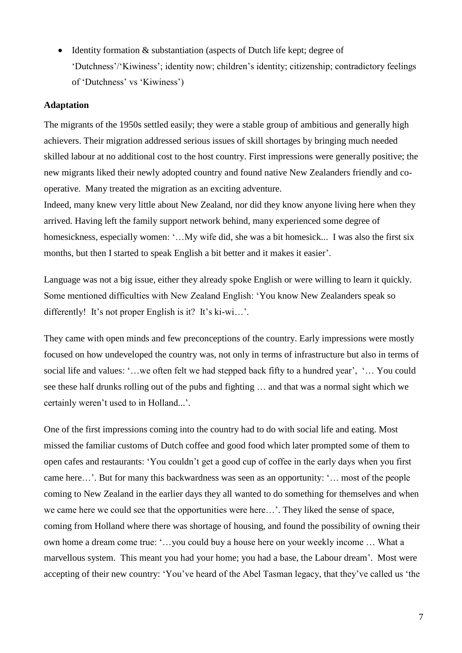Identity formation & substantiation (aspects of Dutch life kept; degree of  $\bullet$ "Dutchness"/"Kiwiness"; identity now; children"s identity; citizenship; contradictory feelings of "Dutchness" vs "Kiwiness")

#### **Adaptation**

The migrants of the 1950s settled easily; they were a stable group of ambitious and generally high achievers. Their migration addressed serious issues of skill shortages by bringing much needed skilled labour at no additional cost to the host country. First impressions were generally positive; the new migrants liked their newly adopted country and found native New Zealanders friendly and cooperative. Many treated the migration as an exciting adventure.

Indeed, many knew very little about New Zealand, nor did they know anyone living here when they arrived. Having left the family support network behind, many experienced some degree of homesickness, especially women: "...My wife did, she was a bit homesick... I was also the first six months, but then I started to speak English a bit better and it makes it easier'.

Language was not a big issue, either they already spoke English or were willing to learn it quickly. Some mentioned difficulties with New Zealand English: "You know New Zealanders speak so differently! It's not proper English is it? It's ki-wi...'.

They came with open minds and few preconceptions of the country. Early impressions were mostly focused on how undeveloped the country was, not only in terms of infrastructure but also in terms of social life and values: "…we often felt we had stepped back fifty to a hundred year", "… You could see these half drunks rolling out of the pubs and fighting … and that was a normal sight which we certainly weren't used to in Holland...'.

One of the first impressions coming into the country had to do with social life and eating. Most missed the familiar customs of Dutch coffee and good food which later prompted some of them to open cafes and restaurants: "You couldn"t get a good cup of coffee in the early days when you first came here…". But for many this backwardness was seen as an opportunity: "… most of the people coming to New Zealand in the earlier days they all wanted to do something for themselves and when we came here we could see that the opportunities were here…". They liked the sense of space, coming from Holland where there was shortage of housing, and found the possibility of owning their own home a dream come true: "…you could buy a house here on your weekly income … What a marvellous system. This meant you had your home; you had a base, the Labour dream". Most were accepting of their new country: 'You've heard of the Abel Tasman legacy, that they've called us 'the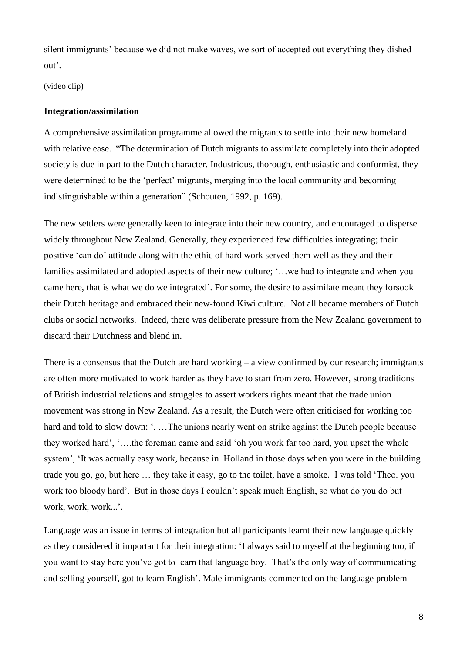silent immigrants' because we did not make waves, we sort of accepted out everything they dished out".

(video clip)

## **Integration/assimilation**

A comprehensive assimilation programme allowed the migrants to settle into their new homeland with relative ease. "The determination of Dutch migrants to assimilate completely into their adopted society is due in part to the Dutch character. Industrious, thorough, enthusiastic and conformist, they were determined to be the 'perfect' migrants, merging into the local community and becoming indistinguishable within a generation" (Schouten, 1992, p. 169).

The new settlers were generally keen to integrate into their new country, and encouraged to disperse widely throughout New Zealand. Generally, they experienced few difficulties integrating; their positive "can do" attitude along with the ethic of hard work served them well as they and their families assimilated and adopted aspects of their new culture; '... we had to integrate and when you came here, that is what we do we integrated". For some, the desire to assimilate meant they forsook their Dutch heritage and embraced their new-found Kiwi culture. Not all became members of Dutch clubs or social networks. Indeed, there was deliberate pressure from the New Zealand government to discard their Dutchness and blend in.

There is a consensus that the Dutch are hard working – a view confirmed by our research; immigrants are often more motivated to work harder as they have to start from zero. However, strong traditions of British industrial relations and struggles to assert workers rights meant that the trade union movement was strong in New Zealand. As a result, the Dutch were often criticised for working too hard and told to slow down: ", ... The unions nearly went on strike against the Dutch people because they worked hard", "….the foreman came and said "oh you work far too hard, you upset the whole system', 'It was actually easy work, because in Holland in those days when you were in the building trade you go, go, but here … they take it easy, go to the toilet, have a smoke. I was told "Theo. you work too bloody hard". But in those days I couldn"t speak much English, so what do you do but work, work...".

Language was an issue in terms of integration but all participants learnt their new language quickly as they considered it important for their integration: "I always said to myself at the beginning too, if you want to stay here you"ve got to learn that language boy. That"s the only way of communicating and selling yourself, got to learn English". Male immigrants commented on the language problem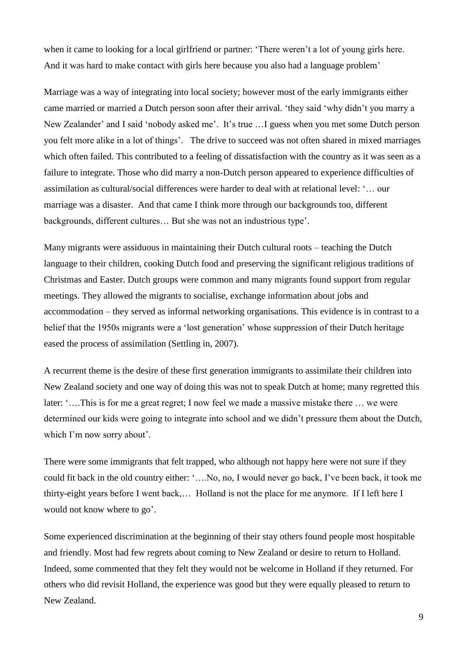when it came to looking for a local girlfriend or partner: 'There weren't a lot of young girls here. And it was hard to make contact with girls here because you also had a language problem'

Marriage was a way of integrating into local society; however most of the early immigrants either came married or married a Dutch person soon after their arrival. "they said "why didn"t you marry a New Zealander' and I said 'nobody asked me'. It's true ... I guess when you met some Dutch person you felt more alike in a lot of things". The drive to succeed was not often shared in mixed marriages which often failed. This contributed to a feeling of dissatisfaction with the country as it was seen as a failure to integrate. Those who did marry a non-Dutch person appeared to experience difficulties of assimilation as cultural/social differences were harder to deal with at relational level: "… our marriage was a disaster. And that came I think more through our backgrounds too, different backgrounds, different cultures… But she was not an industrious type".

Many migrants were assiduous in maintaining their Dutch cultural roots – teaching the Dutch language to their children, cooking Dutch food and preserving the significant religious traditions of Christmas and Easter. Dutch groups were common and many migrants found support from regular meetings. They allowed the migrants to socialise, exchange information about jobs and accommodation – they served as informal networking organisations. This evidence is in contrast to a belief that the 1950s migrants were a "lost generation" whose suppression of their Dutch heritage eased the process of assimilation (Settling in, 2007).

A recurrent theme is the desire of these first generation immigrants to assimilate their children into New Zealand society and one way of doing this was not to speak Dutch at home; many regretted this later: "....This is for me a great regret; I now feel we made a massive mistake there ... we were determined our kids were going to integrate into school and we didn"t pressure them about the Dutch, which I'm now sorry about'.

There were some immigrants that felt trapped, who although not happy here were not sure if they could fit back in the old country either: "….No, no, I would never go back, I"ve been back, it took me thirty-eight years before I went back,… Holland is not the place for me anymore. If I left here I would not know where to go'.

Some experienced discrimination at the beginning of their stay others found people most hospitable and friendly. Most had few regrets about coming to New Zealand or desire to return to Holland. Indeed, some commented that they felt they would not be welcome in Holland if they returned. For others who did revisit Holland, the experience was good but they were equally pleased to return to New Zealand.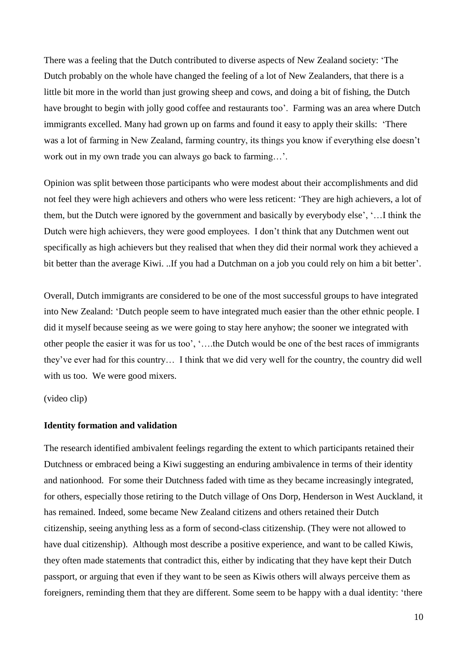There was a feeling that the Dutch contributed to diverse aspects of New Zealand society: "The Dutch probably on the whole have changed the feeling of a lot of New Zealanders, that there is a little bit more in the world than just growing sheep and cows, and doing a bit of fishing, the Dutch have brought to begin with jolly good coffee and restaurants too'. Farming was an area where Dutch immigrants excelled. Many had grown up on farms and found it easy to apply their skills: "There was a lot of farming in New Zealand, farming country, its things you know if everything else doesn"t work out in my own trade you can always go back to farming...'.

Opinion was split between those participants who were modest about their accomplishments and did not feel they were high achievers and others who were less reticent: "They are high achievers, a lot of them, but the Dutch were ignored by the government and basically by everybody else", "…I think the Dutch were high achievers, they were good employees. I don"t think that any Dutchmen went out specifically as high achievers but they realised that when they did their normal work they achieved a bit better than the average Kiwi. ..If you had a Dutchman on a job you could rely on him a bit better'.

Overall, Dutch immigrants are considered to be one of the most successful groups to have integrated into New Zealand: "Dutch people seem to have integrated much easier than the other ethnic people. I did it myself because seeing as we were going to stay here anyhow; the sooner we integrated with other people the easier it was for us too", "….the Dutch would be one of the best races of immigrants they"ve ever had for this country… I think that we did very well for the country, the country did well with us too. We were good mixers.

(video clip)

### **Identity formation and validation**

The research identified ambivalent feelings regarding the extent to which participants retained their Dutchness or embraced being a Kiwi suggesting an enduring ambivalence in terms of their identity and nationhood. For some their Dutchness faded with time as they became increasingly integrated, for others, especially those retiring to the Dutch village of Ons Dorp, Henderson in West Auckland, it has remained. Indeed, some became New Zealand citizens and others retained their Dutch citizenship, seeing anything less as a form of second-class citizenship. (They were not allowed to have dual citizenship). Although most describe a positive experience, and want to be called Kiwis, they often made statements that contradict this, either by indicating that they have kept their Dutch passport, or arguing that even if they want to be seen as Kiwis others will always perceive them as foreigners, reminding them that they are different. Some seem to be happy with a dual identity: "there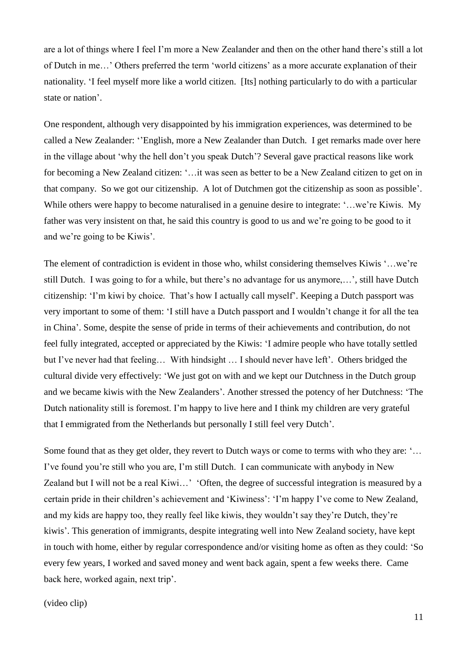are a lot of things where I feel I"m more a New Zealander and then on the other hand there"s still a lot of Dutch in me…" Others preferred the term "world citizens" as a more accurate explanation of their nationality. "I feel myself more like a world citizen. [Its] nothing particularly to do with a particular state or nation'.

One respondent, although very disappointed by his immigration experiences, was determined to be called a New Zealander: ""English, more a New Zealander than Dutch. I get remarks made over here in the village about 'why the hell don't you speak Dutch'? Several gave practical reasons like work for becoming a New Zealand citizen: "…it was seen as better to be a New Zealand citizen to get on in that company. So we got our citizenship. A lot of Dutchmen got the citizenship as soon as possible". While others were happy to become naturalised in a genuine desire to integrate: "...we're Kiwis. My father was very insistent on that, he said this country is good to us and we"re going to be good to it and we"re going to be Kiwis".

The element of contradiction is evident in those who, whilst considering themselves Kiwis "…we're still Dutch. I was going to for a while, but there"s no advantage for us anymore,…", still have Dutch citizenship: 'I'm kiwi by choice. That's how I actually call myself'. Keeping a Dutch passport was very important to some of them: "I still have a Dutch passport and I wouldn"t change it for all the tea in China". Some, despite the sense of pride in terms of their achievements and contribution, do not feel fully integrated, accepted or appreciated by the Kiwis: "I admire people who have totally settled but I've never had that feeling... With hindsight ... I should never have left'. Others bridged the cultural divide very effectively: "We just got on with and we kept our Dutchness in the Dutch group and we became kiwis with the New Zealanders". Another stressed the potency of her Dutchness: "The Dutch nationality still is foremost. I'm happy to live here and I think my children are very grateful that I emmigrated from the Netherlands but personally I still feel very Dutch".

Some found that as they get older, they revert to Dutch ways or come to terms with who they are: "… I"ve found you"re still who you are, I"m still Dutch. I can communicate with anybody in New Zealand but I will not be a real Kiwi…" "Often, the degree of successful integration is measured by a certain pride in their children"s achievement and "Kiwiness": "I"m happy I"ve come to New Zealand, and my kids are happy too, they really feel like kiwis, they wouldn"t say they"re Dutch, they"re kiwis". This generation of immigrants, despite integrating well into New Zealand society, have kept in touch with home, either by regular correspondence and/or visiting home as often as they could: "So every few years, I worked and saved money and went back again, spent a few weeks there. Came back here, worked again, next trip'.

(video clip)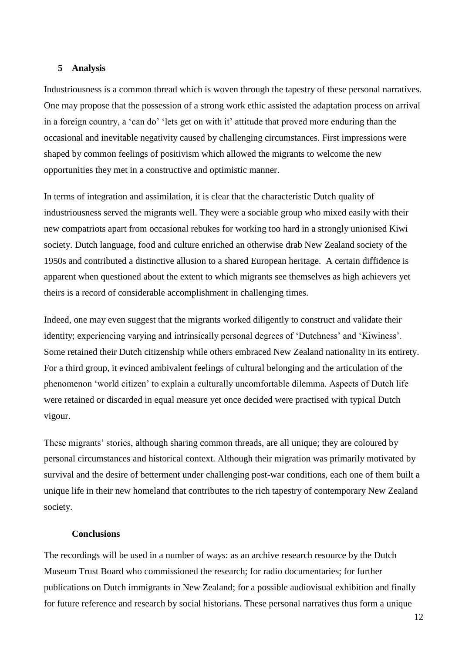#### **5 Analysis**

Industriousness is a common thread which is woven through the tapestry of these personal narratives. One may propose that the possession of a strong work ethic assisted the adaptation process on arrival in a foreign country, a 'can do' 'lets get on with it' attitude that proved more enduring than the occasional and inevitable negativity caused by challenging circumstances. First impressions were shaped by common feelings of positivism which allowed the migrants to welcome the new opportunities they met in a constructive and optimistic manner.

In terms of integration and assimilation, it is clear that the characteristic Dutch quality of industriousness served the migrants well. They were a sociable group who mixed easily with their new compatriots apart from occasional rebukes for working too hard in a strongly unionised Kiwi society. Dutch language, food and culture enriched an otherwise drab New Zealand society of the 1950s and contributed a distinctive allusion to a shared European heritage. A certain diffidence is apparent when questioned about the extent to which migrants see themselves as high achievers yet theirs is a record of considerable accomplishment in challenging times.

Indeed, one may even suggest that the migrants worked diligently to construct and validate their identity; experiencing varying and intrinsically personal degrees of 'Dutchness' and 'Kiwiness'. Some retained their Dutch citizenship while others embraced New Zealand nationality in its entirety. For a third group, it evinced ambivalent feelings of cultural belonging and the articulation of the phenomenon "world citizen" to explain a culturally uncomfortable dilemma. Aspects of Dutch life were retained or discarded in equal measure yet once decided were practised with typical Dutch vigour.

These migrants' stories, although sharing common threads, are all unique; they are coloured by personal circumstances and historical context. Although their migration was primarily motivated by survival and the desire of betterment under challenging post-war conditions, each one of them built a unique life in their new homeland that contributes to the rich tapestry of contemporary New Zealand society.

#### **Conclusions**

The recordings will be used in a number of ways: as an archive research resource by the Dutch Museum Trust Board who commissioned the research; for radio documentaries; for further publications on Dutch immigrants in New Zealand; for a possible audiovisual exhibition and finally for future reference and research by social historians. These personal narratives thus form a unique